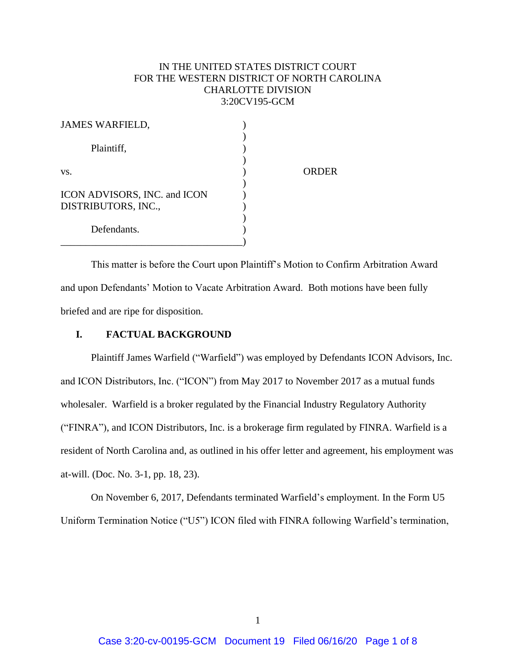## IN THE UNITED STATES DISTRICT COURT FOR THE WESTERN DISTRICT OF NORTH CAROLINA CHARLOTTE DIVISION 3:20CV195-GCM

| <b>JAMES WARFIELD,</b>                              |       |
|-----------------------------------------------------|-------|
| Plaintiff,                                          |       |
| VS.                                                 | ORDER |
| ICON ADVISORS, INC. and ICON<br>DISTRIBUTORS, INC., |       |
| Defendants.                                         |       |

This matter is before the Court upon Plaintiff's Motion to Confirm Arbitration Award and upon Defendants' Motion to Vacate Arbitration Award. Both motions have been fully briefed and are ripe for disposition.

## **I. FACTUAL BACKGROUND**

Plaintiff James Warfield ("Warfield") was employed by Defendants ICON Advisors, Inc. and ICON Distributors, Inc. ("ICON") from May 2017 to November 2017 as a mutual funds wholesaler. Warfield is a broker regulated by the Financial Industry Regulatory Authority ("FINRA"), and ICON Distributors, Inc. is a brokerage firm regulated by FINRA. Warfield is a resident of North Carolina and, as outlined in his offer letter and agreement, his employment was at-will. (Doc. No. 3-1, pp. 18, 23).

On November 6, 2017, Defendants terminated Warfield's employment. In the Form U5 Uniform Termination Notice ("U5") ICON filed with FINRA following Warfield's termination,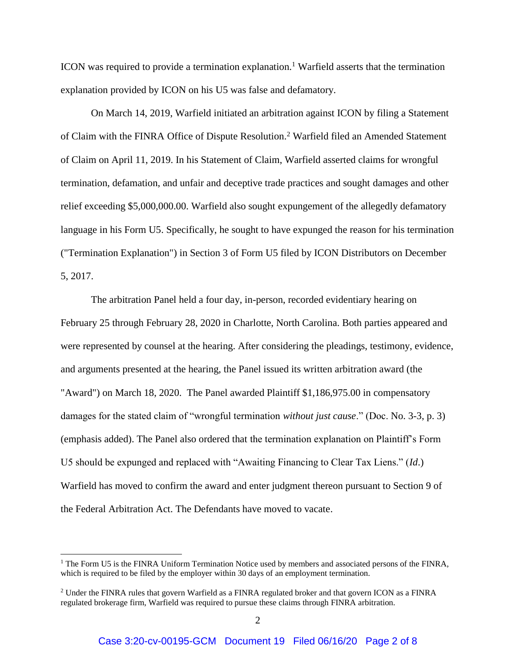ICON was required to provide a termination explanation.<sup>1</sup> Warfield asserts that the termination explanation provided by ICON on his U5 was false and defamatory.

On March 14, 2019, Warfield initiated an arbitration against ICON by filing a Statement of Claim with the FINRA Office of Dispute Resolution.<sup>2</sup> Warfield filed an Amended Statement of Claim on April 11, 2019. In his Statement of Claim, Warfield asserted claims for wrongful termination, defamation, and unfair and deceptive trade practices and sought damages and other relief exceeding \$5,000,000.00. Warfield also sought expungement of the allegedly defamatory language in his Form U5. Specifically, he sought to have expunged the reason for his termination ("Termination Explanation") in Section 3 of Form U5 filed by ICON Distributors on December 5, 2017.

The arbitration Panel held a four day, in-person, recorded evidentiary hearing on February 25 through February 28, 2020 in Charlotte, North Carolina. Both parties appeared and were represented by counsel at the hearing. After considering the pleadings, testimony, evidence, and arguments presented at the hearing, the Panel issued its written arbitration award (the "Award") on March 18, 2020. The Panel awarded Plaintiff \$1,186,975.00 in compensatory damages for the stated claim of "wrongful termination *without just cause*." (Doc. No. 3-3, p. 3) (emphasis added). The Panel also ordered that the termination explanation on Plaintiff's Form U5 should be expunged and replaced with "Awaiting Financing to Clear Tax Liens." (*Id*.) Warfield has moved to confirm the award and enter judgment thereon pursuant to Section 9 of the Federal Arbitration Act. The Defendants have moved to vacate.

 $\overline{a}$ 

<sup>&</sup>lt;sup>1</sup> The Form U5 is the FINRA Uniform Termination Notice used by members and associated persons of the FINRA, which is required to be filed by the employer within 30 days of an employment termination.

<sup>&</sup>lt;sup>2</sup> Under the FINRA rules that govern Warfield as a FINRA regulated broker and that govern ICON as a FINRA regulated brokerage firm, Warfield was required to pursue these claims through FINRA arbitration.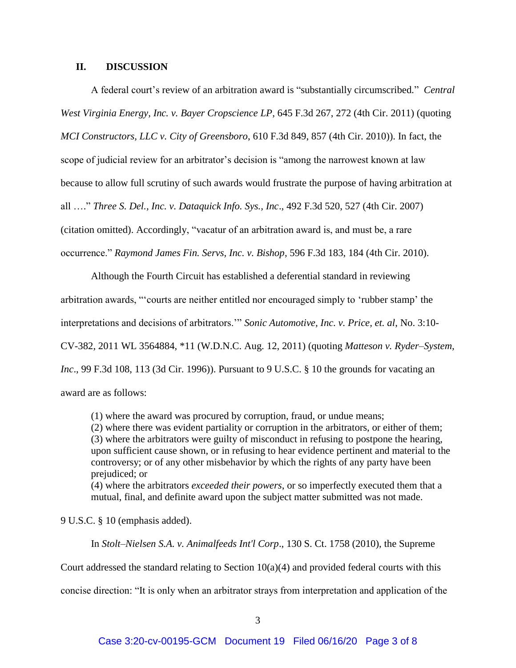## **II. DISCUSSION**

A federal court's review of an arbitration award is "substantially circumscribed." *Central West Virginia Energy, Inc. v. Bayer Cropscience LP*, 645 F.3d 267, 272 (4th Cir. 2011) (quoting *MCI Constructors, LLC v. City of Greensboro*, 610 F.3d 849, 857 (4th Cir. 2010)). In fact, the scope of judicial review for an arbitrator's decision is "among the narrowest known at law because to allow full scrutiny of such awards would frustrate the purpose of having arbitration at all …." *Three S. Del., Inc. v. Dataquick Info. Sys., Inc*., 492 F.3d 520, 527 (4th Cir. 2007) (citation omitted). Accordingly, "vacatur of an arbitration award is, and must be, a rare occurrence." *Raymond James Fin. Servs, Inc. v. Bishop*, 596 F.3d 183, 184 (4th Cir. 2010).

Although the Fourth Circuit has established a deferential standard in reviewing arbitration awards, "'courts are neither entitled nor encouraged simply to 'rubber stamp' the interpretations and decisions of arbitrators.'" *Sonic Automotive, Inc. v. Price, et. al*, No. 3:10- CV-382, 2011 WL 3564884, \*11 (W.D.N.C. Aug. 12, 2011) (quoting *Matteson v. Ryder–System, Inc.*, 99 F.3d 108, 113 (3d Cir. 1996)). Pursuant to 9 U.S.C. § 10 the grounds for vacating an award are as follows:

(1) where the award was procured by corruption, fraud, or undue means;

(2) where there was evident partiality or corruption in the arbitrators, or either of them; (3) where the arbitrators were guilty of misconduct in refusing to postpone the hearing, upon sufficient cause shown, or in refusing to hear evidence pertinent and material to the controversy; or of any other misbehavior by which the rights of any party have been prejudiced; or

(4) where the arbitrators *exceeded their powers*, or so imperfectly executed them that a mutual, final, and definite award upon the subject matter submitted was not made.

9 U.S.C. § 10 (emphasis added).

In *Stolt–Nielsen S.A. v. Animalfeeds Int'l Corp*., 130 S. Ct. 1758 (2010), the Supreme

Court addressed the standard relating to Section  $10(a)(4)$  and provided federal courts with this

concise direction: "It is only when an arbitrator strays from interpretation and application of the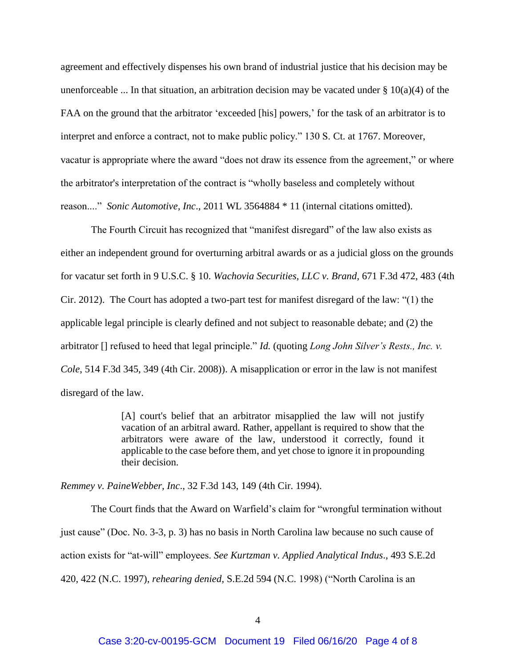agreement and effectively dispenses his own brand of industrial justice that his decision may be unenforceable ... In that situation, an arbitration decision may be vacated under  $\S 10(a)(4)$  of the FAA on the ground that the arbitrator 'exceeded [his] powers,' for the task of an arbitrator is to interpret and enforce a contract, not to make public policy." 130 S. Ct. at 1767. Moreover, vacatur is appropriate where the award "does not draw its essence from the agreement," or where the arbitrator's interpretation of the contract is "wholly baseless and completely without reason...." *Sonic Automotive, Inc*., 2011 WL 3564884 \* 11 (internal citations omitted).

The Fourth Circuit has recognized that "manifest disregard" of the law also exists as either an independent ground for overturning arbitral awards or as a judicial gloss on the grounds for vacatur set forth in 9 U.S.C. § 10. *Wachovia Securities, LLC v. Brand*, 671 F.3d 472, 483 (4th Cir. 2012). The Court has adopted a two-part test for manifest disregard of the law: "(1) the applicable legal principle is clearly defined and not subject to reasonable debate; and (2) the arbitrator [] refused to heed that legal principle." *Id.* (quoting *Long John Silver's Rests., Inc. v. Cole*, 514 F.3d 345, 349 (4th Cir. 2008)). A misapplication or error in the law is not manifest disregard of the law.

> [A] court's belief that an arbitrator misapplied the law will not justify vacation of an arbitral award. Rather, appellant is required to show that the arbitrators were aware of the law, understood it correctly, found it applicable to the case before them, and yet chose to ignore it in propounding their decision.

*Remmey v. PaineWebber, Inc*., 32 F.3d 143, 149 (4th Cir. 1994).

The Court finds that the Award on Warfield's claim for "wrongful termination without just cause" (Doc. No. 3-3, p. 3) has no basis in North Carolina law because no such cause of action exists for "at-will" employees. *See Kurtzman v. Applied Analytical Indus*., 493 S.E.2d 420, 422 (N.C. 1997), *rehearing denied*, S.E.2d 594 (N.C. 1998) ("North Carolina is an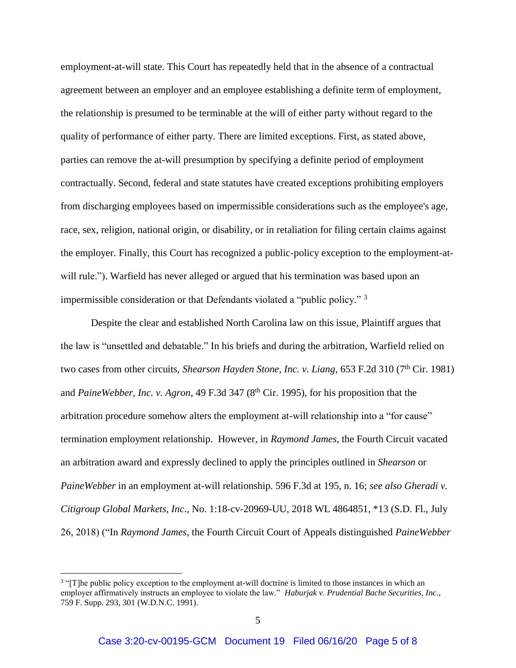employment-at-will state. This Court has repeatedly held that in the absence of a contractual agreement between an employer and an employee establishing a definite term of employment, the relationship is presumed to be terminable at the will of either party without regard to the quality of performance of either party. There are limited exceptions. First, as stated above, parties can remove the at-will presumption by specifying a definite period of employment contractually. Second, federal and state statutes have created exceptions prohibiting employers from discharging employees based on impermissible considerations such as the employee's age, race, sex, religion, national origin, or disability, or in retaliation for filing certain claims against the employer. Finally, this Court has recognized a public-policy exception to the employment-atwill rule."). Warfield has never alleged or argued that his termination was based upon an impermissible consideration or that Defendants violated a "public policy." <sup>3</sup>

Despite the clear and established North Carolina law on this issue, Plaintiff argues that the law is "unsettled and debatable." In his briefs and during the arbitration, Warfield relied on two cases from other circuits, *Shearson Hayden Stone, Inc. v. Liang*, 653 F.2d 310 (7<sup>th</sup> Cir. 1981) and *PaineWebber, Inc. v. Agron*, 49 F.3d 347 (8<sup>th</sup> Cir. 1995), for his proposition that the arbitration procedure somehow alters the employment at-will relationship into a "for cause" termination employment relationship. However, in *Raymond James*, the Fourth Circuit vacated an arbitration award and expressly declined to apply the principles outlined in *Shearson* or *PaineWebber* in an employment at-will relationship*.* 596 F.3d at 195, n. 16; *see also Gheradi v. Citigroup Global Markets, Inc*., No. 1:18-cv-20969-UU, 2018 WL 4864851, \*13 (S.D. Fl., July 26, 2018) ("In *Raymond James*, the Fourth Circuit Court of Appeals distinguished *PaineWebber*

 $\overline{a}$ 

<sup>&</sup>lt;sup>3</sup> "[T]he public policy exception to the employment at-will doctrine is limited to those instances in which an employer affirmatively instructs an employee to violate the law." *Haburjak v. Prudential Bache Securities, Inc*., 759 F. Supp. 293, 301 (W.D.N.C. 1991).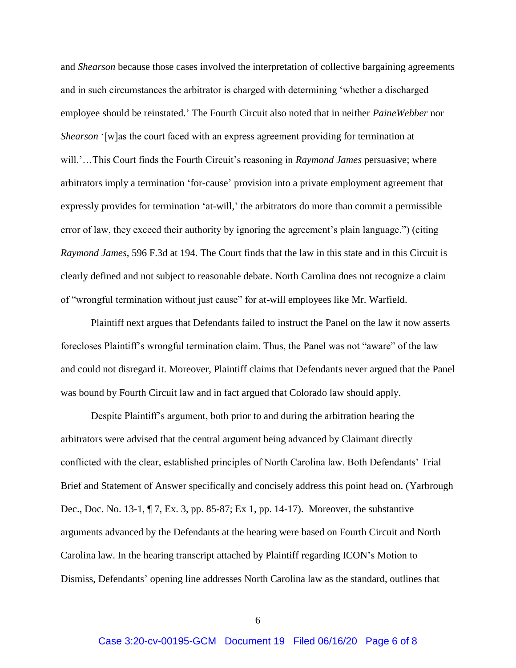and *Shearson* because those cases involved the interpretation of collective bargaining agreements and in such circumstances the arbitrator is charged with determining 'whether a discharged employee should be reinstated.' The Fourth Circuit also noted that in neither *PaineWebber* nor *Shearson* '[w]as the court faced with an express agreement providing for termination at will.'…This Court finds the Fourth Circuit's reasoning in *Raymond James* persuasive; where arbitrators imply a termination 'for-cause' provision into a private employment agreement that expressly provides for termination 'at-will,' the arbitrators do more than commit a permissible error of law, they exceed their authority by ignoring the agreement's plain language.") (citing *Raymond James*, 596 F.3d at 194. The Court finds that the law in this state and in this Circuit is clearly defined and not subject to reasonable debate. North Carolina does not recognize a claim of "wrongful termination without just cause" for at-will employees like Mr. Warfield.

Plaintiff next argues that Defendants failed to instruct the Panel on the law it now asserts forecloses Plaintiff's wrongful termination claim. Thus, the Panel was not "aware" of the law and could not disregard it. Moreover, Plaintiff claims that Defendants never argued that the Panel was bound by Fourth Circuit law and in fact argued that Colorado law should apply.

Despite Plaintiff's argument, both prior to and during the arbitration hearing the arbitrators were advised that the central argument being advanced by Claimant directly conflicted with the clear, established principles of North Carolina law. Both Defendants' Trial Brief and Statement of Answer specifically and concisely address this point head on. (Yarbrough Dec., Doc. No. 13-1, ¶ 7, Ex. 3, pp. 85-87; Ex 1, pp. 14-17). Moreover, the substantive arguments advanced by the Defendants at the hearing were based on Fourth Circuit and North Carolina law. In the hearing transcript attached by Plaintiff regarding ICON's Motion to Dismiss, Defendants' opening line addresses North Carolina law as the standard, outlines that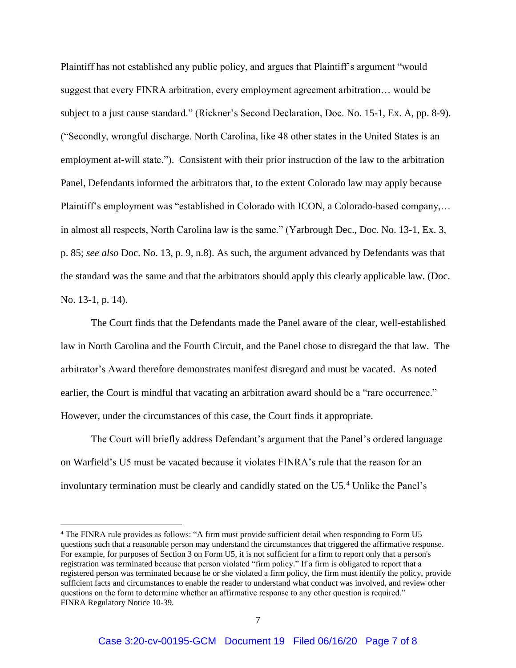Plaintiff has not established any public policy, and argues that Plaintiff's argument "would suggest that every FINRA arbitration, every employment agreement arbitration… would be subject to a just cause standard." (Rickner's Second Declaration, Doc. No. 15-1, Ex. A, pp. 8-9). ("Secondly, wrongful discharge. North Carolina, like 48 other states in the United States is an employment at-will state."). Consistent with their prior instruction of the law to the arbitration Panel, Defendants informed the arbitrators that, to the extent Colorado law may apply because Plaintiff's employment was "established in Colorado with ICON, a Colorado-based company,… in almost all respects, North Carolina law is the same." (Yarbrough Dec., Doc. No. 13-1, Ex. 3, p. 85; *see also* Doc. No. 13, p. 9, n.8). As such, the argument advanced by Defendants was that the standard was the same and that the arbitrators should apply this clearly applicable law. (Doc. No. 13-1, p. 14).

The Court finds that the Defendants made the Panel aware of the clear, well-established law in North Carolina and the Fourth Circuit, and the Panel chose to disregard the that law. The arbitrator's Award therefore demonstrates manifest disregard and must be vacated. As noted earlier, the Court is mindful that vacating an arbitration award should be a "rare occurrence." However, under the circumstances of this case, the Court finds it appropriate.

The Court will briefly address Defendant's argument that the Panel's ordered language on Warfield's U5 must be vacated because it violates FINRA's rule that the reason for an involuntary termination must be clearly and candidly stated on the U5.<sup>4</sup> Unlike the Panel's

 $\overline{a}$ 

<sup>4</sup> The FINRA rule provides as follows: "A firm must provide sufficient detail when responding to Form U5 questions such that a reasonable person may understand the circumstances that triggered the affirmative response. For example, for purposes of Section 3 on Form U5, it is not sufficient for a firm to report only that a person's registration was terminated because that person violated "firm policy." If a firm is obligated to report that a registered person was terminated because he or she violated a firm policy, the firm must identify the policy, provide sufficient facts and circumstances to enable the reader to understand what conduct was involved, and review other questions on the form to determine whether an affirmative response to any other question is required." FINRA Regulatory Notice 10-39.